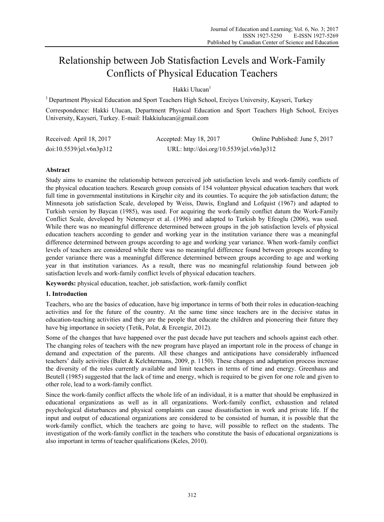# Relationship between Job Statisfaction Levels and Work-Family Conflicts of Physical Education Teachers

## Hakki Ulucan<sup>1</sup>

<sup>1</sup> Department Physical Education and Sport Teachers High School, Ercives University, Kayseri, Turkey

Correspondence: Hakki Ulucan, Department Physical Education and Sport Teachers High School, Erciyes University, Kayseri, Turkey. E-mail: Hakkiulucan@gmail.com

| Received: April 18, 2017 | Accepted: May 18, 2017                   | Online Published: June 5, 2017 |
|--------------------------|------------------------------------------|--------------------------------|
| doi:10.5539/jel.v6n3p312 | URL: http://doi.org/10.5539/jel.v6n3p312 |                                |

## **Abstract**

Study aims to examine the relationship between perceived job satisfaction levels and work-family conflicts of the physical education teachers. Research group consists of 154 volunteer physical education teachers that work full time in governmental institutions in Kirşehir city and its counties. To acquire the job satisfaction datum; the Minnesota job satisfaction Scale, developed by Weiss, Dawis, England and Lofquist (1967) and adapted to Turkish version by Baycan (1985), was used. For acquiring the work-family conflict datum the Work-Family Conflict Scale, developed by Netemeyer et al. (1996) and adapted to Turkish by Efeoglu (2006), was used. While there was no meaningful difference determined between groups in the job satisfaction levels of physical education teachers according to gender and working year in the institution variance there was a meaningful difference determined between groups according to age and working year variance. When work-family conflict levels of teachers are considered while there was no meaningful difference found between groups according to gender variance there was a meaningful difference determined between groups according to age and working year in that institution variances. As a result, there was no meaningful relationship found between job satisfaction levels and work-family conflict levels of physical education teachers.

**Keywords:** physical education, teacher, job satisfaction, work-family conflict

## **1. Introduction**

Teachers, who are the basics of education, have big importance in terms of both their roles in education-teaching activities and for the future of the country. At the same time since teachers are in the decisive status in education-teaching activities and they are the people that educate the children and pioneering their future they have big importance in society (Tetik, Polat, & Ercengiz, 2012).

Some of the changes that have happened over the past decade have put teachers and schools against each other. The changing roles of teachers with the new program have played an important role in the process of change in demand and expectation of the parents. All these changes and anticipations have considerably influenced teachers' daily activities (Balet & Kelchtermans, 2009, p. 1150). These changes and adaptation process increase the diversity of the roles currently available and limit teachers in terms of time and energy. Greenhaus and Beutell (1985) suggested that the lack of time and energy, which is required to be given for one role and given to other role, lead to a work-family conflict.

Since the work-family conflict affects the whole life of an individual, it is a matter that should be emphasized in educational organizations as well as in all organizations. Work-family conflict, exhaustion and related psychological disturbances and physical complaints can cause dissatisfaction in work and private life. If the input and output of educational organizations are considered to be consisted of human, it is possible that the work-family conflict, which the teachers are going to have, will possible to reflect on the students. The investigation of the work-family conflict in the teachers who constitute the basis of educational organizations is also important in terms of teacher qualifications (Keles, 2010).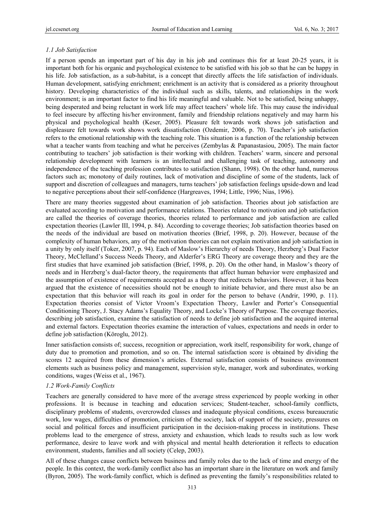### *1.1 Job Satisfaction*

If a person spends an important part of his day in his job and continues this for at least 20-25 years, it is important both for his organic and psychological existence to be satisfied with his job so that he can be happy in his life. Job satisfaction, as a sub-habitat, is a concept that directly affects the life satisfaction of individuals. Human development, satisfying enrichment; enrichment is an activity that is considered as a priority throughout history. Developing characteristics of the individual such as skills, talents, and relationships in the work environment; is an important factor to find his life meaningful and valuable. Not to be satisfied, being unhappy, being desperated and being reluctant in work life may affect teachers' whole life. This may cause the individual to feel insecure by affecting his/her environment, family and friendship relations negatively and may harm his physical and psychological health (Keser, 2005). Pleasure felt towards work shows job satisfaction and displeasure felt towards work shows work dissatisfaction (Ozdemir, 2006, p. 70). Teacher's job satisfaction refers to the emotional relationship with the teaching role. This situation is a function of the relationship between what a teacher wants from teaching and what he perceives (Zembylas & Papanastasiou, 2005). The main factor contributing to teachers' job satisfaction is their working with children. Teachers' warm, sincere and personal relationship development with learners is an intellectual and challenging task of teaching, autonomy and independence of the teaching profession contributes to satisfaction (Shann, 1998). On the other hand, numerous factors such as; monotony of daily routines, lack of motivation and discipline of some of the students, lack of support and discretion of colleagues and managers, turns teachers' job satisfaction feelings upside-down and lead to negative perceptions about their self-confidence (Hargreaves, 1994; Little, 1996; Nias, 1996).

There are many theories suggested about examination of job satisfaction. Theories about job satisfaction are evaluated according to motivation and performance relations. Theories related to motivation and job satisfaction are called the theories of coverage theories, theories related to performance and job satisfaction are called expectation theories (Lawler III, 1994, p. 84). According to coverage theories; Job satisfaction theories based on the needs of the individual are based on motivation theories (Brief, 1998, p. 20). However, because of the complexity of human behaviors, any of the motivation theories can not explain motivation and job satisfaction in a unity by only itself (Toker, 2007, p. 94). Each of Maslow's Hierarchy of needs Theory, Herzberg's Dual Factor Theory, McClelland's Success Needs Theory, and Alderfer's ERG Theory are coverage theory and they are the first studies that have examined job satisfaction (Brief, 1998, p. 20). On the other hand, in Maslow's theory of needs and in Herzberg's dual-factor theory, the requirements that affect human behavior were emphasized and the assumption of existence of requirements accepted as a theory that redirects behaviors. However, it has been argued that the existence of necessities should not be enough to initiate behavior, and there must also be an expectation that this behavior will reach its goal in order for the person to behave (Andrir, 1990, p. 11). Expectation theories consist of Victor Vroom's Expectation Theory, Lawler and Porter's Consequential Conditioning Theory, J. Stacy Adams's Equality Theory, and Locke's Theory of Purpose. The coverage theories, describing job satisfaction, examine the satisfaction of needs to define job satisfaction and the acquired internal and external factors. Expectation theories examine the interaction of values, expectations and needs in order to define job satisfaction (Köroglu, 2012).

Inner satisfaction consists of; success, recognition or appreciation, work itself, responsibility for work, change of duty due to promotion and promotion, and so on. The internal satisfaction score is obtained by dividing the scores 12 acquired from these dimension's articles. External satisfaction consists of business environment elements such as business policy and management, supervision style, manager, work and subordinates, working conditions, wages (Weiss et al., 1967).

#### *1.2 Work-Family Conflicts*

Teachers are generally considered to have more of the average stress experienced by people working in other professions. It is because in teaching and education services; Student-teacher, school-family conflicts, disciplinary problems of students, overcrowded classes and inadequate physical conditions, excess bureaucratic work, low wages, difficulties of promotion, criticism of the society, lack of support of the society, pressures on social and political forces and insufficient participation in the decision-making process in institutions. These problems lead to the emergence of stress, anxiety and exhaustion, which leads to results such as low work performance, desire to leave work and with physical and mental health deterioration it reflects to education environment, students, families and all society (Celep, 2003).

All of these changes cause conflicts between business and family roles due to the lack of time and energy of the people. In this context, the work-family conflict also has an important share in the literature on work and family (Byron, 2005). The work-family conflict, which is defined as preventing the family's responsibilities related to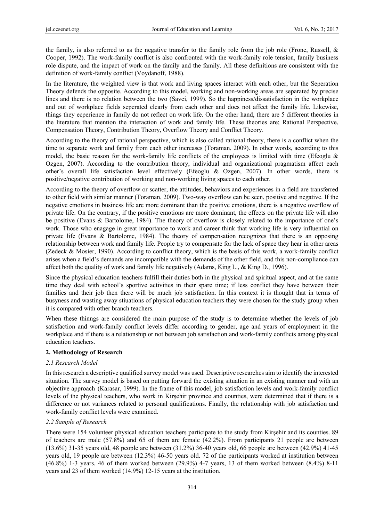the family, is also referred to as the negative transfer to the family role from the job role (Frone, Russell, & Cooper, 1992). The work-family conflict is also confronted with the work-family role tension, family business role dispute, and the impact of work on the family and the family. All these definitions are consistent with the definition of work-family conflict (Voydanoff, 1988).

In the literature, the weighted view is that work and living spaces interact with each other, but the Seperation Theory defends the opposite. According to this model, working and non-working areas are separated by precise lines and there is no relation between the two (Savci, 1999). So the happiness/dissatisfaction in the workplace and out of workplace fields seperated clearly from each other and does not affect the family life. Likewise, things they ecperience in family do not reflect on work life. On the other hand, there are 5 different theories in the literature that mention the interaction of work and family life. These theories are; Rational Perspective, Compensation Theory, Contribution Theory, Overflow Theory and Conflict Theory.

According to the theory of rational perspective, which is also called rational theory, there is a conflict when the time to separate work and family from each other increases (Toraman, 2009). In other words, according to this model, the basic reason for the work-family life conflicts of the employees is limited with time (Efeoglu  $\&$ Ozgen, 2007). According to the contribution theory, individual and organizational pragmatism affect each other's overall life satisfaction level effectively (Efeoglu & Ozgen, 2007). In other words, there is positive/negative contribution of working and non-working living spaces to each other.

According to the theory of overflow or scatter, the attitudes, behaviors and experiences in a field are transferred to other field with similar manner (Toraman, 2009). Two-way overflow can be seen, positive and negative. If the negative emotions in business life are more dominant than the positive emotions, there is a negative overflow of private life. On the contrary, if the positive emotions are more dominant, the effects on the private life will also be positive (Evans & Bartolome, 1984). The theory of overflow is closely related to the importance of one's work. Those who enagage in great importance to work and career think that working life is very influential on private life (Evans & Bartolome, 1984). The theory of compensation recognizes that there is an opposing relationship between work and family life. People try to compensate for the lack of space they hear in other areas (Zedeck & Mosier, 1990). According to conflict theory, which is the basis of this work, a work-family conflict arises when a field's demands are incompatible with the demands of the other field, and this non-compliance can affect both the quality of work and family life negatively (Adams, King L., & King D., 1996).

Since the physical education teachers fulfill their duties both in the physical and spiritual aspect, and at the same time they deal with school's sportive activities in their spare time; if less conflict they have between their families and their job then there will be much job satisfaction. In this context it is thought that in terms of busyness and wasting away stiuations of physical education teachers they were chosen for the study group when it is compared with other branch teachers.

When these thinngs are considered the main purpose of the study is to determine whether the levels of job satisfaction and work-family conflict levels differ according to gender, age and years of employment in the workplace and if there is a relationship or not between job satisfaction and work-family conflicts among physical education teachers.

#### **2. Methodology of Research**

#### *2.1 Research Model*

In this research a descriptive qualified survey model was used. Descriptive researches aim to identify the interested situation. The survey model is based on putting forward the existing situation in an existing manner and with an objective approach (Karasar, 1999). In the frame of this model, job satisfaction levels and work-family conflict levels of the physical teachers, who work in Kirşehir province and counties, were determined that if there is a difference or not variances related to personal qualifications. Finally, the relationship with job satisfaction and work-family conflict levels were examined.

#### *2.2 Sample of Research*

There were 154 volunteer physical education teachers participate to the study from Kirşehir and its counties. 89 of teachers are male (57.8%) and 65 of them are female (42.2%). From participants 21 people are between (13.6%) 31-35 years old, 48 people are between (31.2%) 36-40 years old, 66 people are between (42.9%) 41-45 years old, 19 people are between (12.3%) 46-50 years old. 72 of the participants worked at institution between (46.8%) 1-3 years, 46 of them worked between (29.9%) 4-7 years, 13 of them worked between (8.4%) 8-11 years and 23 of them worked (14.9%) 12-15 years at the institution.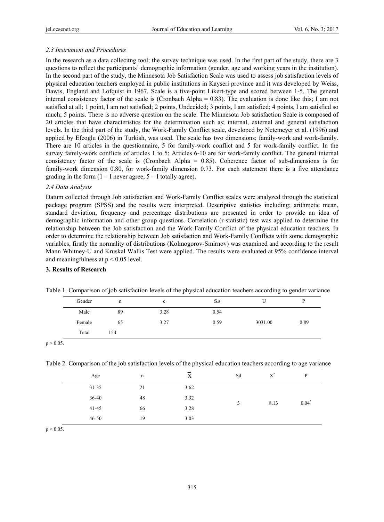#### *2.3 Instrument and Procedures*

In the research as a data collecitng tool; the survey technique was used. In the first part of the study, there are 3 questions to reflect the participants' demographic information (gender, age and working years in the institution). In the second part of the study, the Minnesota Job Satisfaction Scale was used to assess job satisfaction levels of physical education teachers employed in public institutions in Kayseri province and it was developed by Weiss, Dawis, England and Lofquist in 1967. Scale is a five-point Likert-type and scored between 1-5. The general internal consistency factor of the scale is (Cronbach Alpha = 0.83). The evaluation is done like this; I am not satisfied at all; 1 point, I am not satisfied; 2 points, Undecided; 3 points, I am satisfied; 4 points, I am satisfied so much; 5 points. There is no adverse question on the scale. The Minnesota Job satisfaction Scale is composed of 20 articles that have characteristics for the determination such as; internal, external and general satisfaction levels. In the third part of the study, the Work-Family Conflict scale, developed by Netemeyer et al. (1996) and applied by Efeoglu (2006) in Turkish, was used. The scale has two dimensions; family-work and work-family. There are 10 articles in the questionnaire, 5 for family-work conflict and 5 for work-family conflict. In the survey family-work conflicts of articles 1 to 5; Articles 6-10 are for work-family conflict. The general internal consistency factor of the scale is (Cronbach Alpha = 0.85). Coherence factor of sub-dimensions is for family-work dimension 0.80, for work-family dimension 0.73. For each statement there is a five attendance grading in the form  $(1 = I$  never agree,  $5 = I$  totally agree).

### *2.4 Data Analysis*

Datum collected through Job satisfaction and Work-Family Conflict scales were analyzed through the statistical package program (SPSS) and the results were interpreted. Descriptive statistics including; arithmetic mean, standard deviation, frequency and percentage distributions are presented in order to provide an idea of demographic information and other group questions. Correlation (r-statistic) test was applied to determine the relationship between the Job satisfaction and the Work-Family Conflict of the physical education teachers. In order to determine the relationship between Job satisfaction and Work-Family Conflicts with some demographic variables, firstly the normality of distributions (Kolmogorov-Smirnov) was examined and according to the result Mann Whitney-U and Kruskal Wallis Test were applied. The results were evaluated at 95% confidence interval and meaningfulness at  $p < 0.05$  level.

#### **3. Results of Research**

| Gender | n   | c    | S.s  |         |      |
|--------|-----|------|------|---------|------|
| Male   | 89  | 3.28 | 0.54 |         |      |
| Female | 65  | 3.27 | 0.59 | 3031.00 | 0.89 |
| Total  | 154 |      |      |         |      |

Table 1. Comparison of job satisfaction levels of the physical education teachers according to gender variance

 $p > 0.05$ .

Table 2. Comparison of the job satisfaction levels of the physical education teachers according to age variance

| Age       | $\mathbf n$ |      | Sd | $X^2$ | P       |
|-----------|-------------|------|----|-------|---------|
| $31 - 35$ | 21          | 3.62 |    |       |         |
| $36-40$   | 48          | 3.32 | 3  | 8.13  | $0.04*$ |
| $41 - 45$ | 66          | 3.28 |    |       |         |
| $46 - 50$ | 19          | 3.03 |    |       |         |
|           |             |      |    |       |         |

 $p < 0.05$ .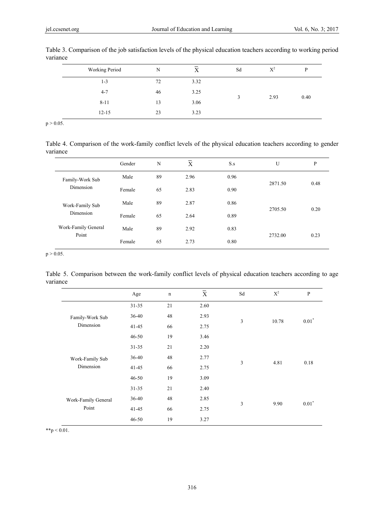| Working Period | N  | Х    | Sd | $X^2$ | P    |
|----------------|----|------|----|-------|------|
| $1 - 3$        | 72 | 3.32 |    |       |      |
| $4 - 7$        | 46 | 3.25 |    | 2.93  |      |
| $8 - 11$       | 13 | 3.06 |    |       | 0.40 |
| $12 - 15$      | 23 | 3.23 |    |       |      |

Table 3. Comparison of the job satisfaction levels of the physical education teachers according to working period variance

 $p > 0.05$ .

Table 4. Comparison of the work-family conflict levels of the physical education teachers according to gender variance

|                              | Gender | N  | —<br>$\mathbf{X}$ | $S_{.}$ s | U       | P    |
|------------------------------|--------|----|-------------------|-----------|---------|------|
| Family-Work Sub<br>Dimension | Male   | 89 | 2.96              | 0.96      | 2871.50 | 0.48 |
|                              | Female | 65 | 2.83              | 0.90      |         |      |
| Work-Family Sub<br>Dimension | Male   | 89 | 2.87              | 0.86      | 2705.50 | 0.20 |
|                              | Female | 65 | 2.64              | 0.89      |         |      |
| Work-Family General<br>Point | Male   | 89 | 2.92              | 0.83      | 2732.00 | 0.23 |
|                              | Female | 65 | 2.73              | 0.80      |         |      |

 $p > 0.05$ .

Table 5. Comparison between the work-family conflict levels of physical education teachers according to age variance

|                              | Age       | $\mathbf n$ | $\overline{\mathbf{x}}$ | Sd | $X^2$ | $\mathbf{P}$ |
|------------------------------|-----------|-------------|-------------------------|----|-------|--------------|
| Family-Work Sub              | $31 - 35$ | 21          | 2.60                    | 3  |       |              |
|                              | $36 - 40$ | 48          | 2.93                    |    | 10.78 | $0.01*$      |
| Dimension                    | $41 - 45$ | 66          | 2.75                    |    |       |              |
|                              | $46 - 50$ | 19          | 3.46                    |    |       |              |
|                              | $31 - 35$ | 21          | 2.20                    |    |       | 0.18         |
| Work-Family Sub              | 36-40     | 48          | 2.77                    | 3  | 4.81  |              |
| Dimension                    | $41 - 45$ | 66          | 2.75                    |    |       |              |
|                              | $46 - 50$ | 19          | 3.09                    |    |       |              |
|                              | $31 - 35$ | 21          | 2.40                    |    |       |              |
| Work-Family General<br>Point | 36-40     | 48          | 2.85                    | 3  | 9.90  | $0.01*$      |
|                              | $41 - 45$ | 66          | 2.75                    |    |       |              |
|                              | $46 - 50$ | 19          | 3.27                    |    |       |              |

 $*$  $p$  < 0.01.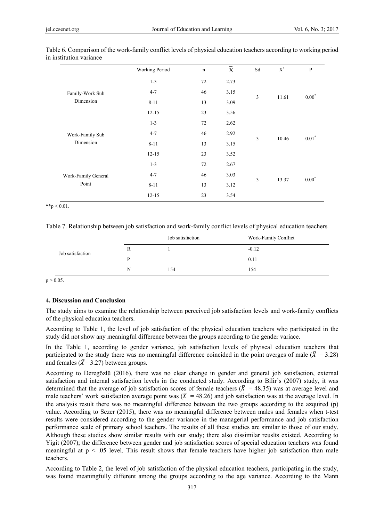|                              | Working Period | $\mathbf n$ | $\mathbf X$ | Sd | $X^2$ | $\mathbf{P}$ |
|------------------------------|----------------|-------------|-------------|----|-------|--------------|
|                              | $1 - 3$        | 72          | 2.73        |    | 11.61 |              |
| Family-Work Sub              | $4 - 7$        | 46          | 3.15        |    |       |              |
| Dimension                    | $8 - 11$       | 13          | 3.09        | 3  |       | $0.00*$      |
|                              | $12 - 15$      | 23          | 3.56        |    |       |              |
|                              | $1 - 3$        | 72          | 2.62        |    |       |              |
| Work-Family Sub              | $4 - 7$        | 46          | 2.92        |    |       | $0.01*$      |
| Dimension                    | $8 - 11$       | 13          | 3.15        | 3  | 10.46 |              |
|                              | $12 - 15$      | 23          | 3.52        |    |       |              |
|                              | $1 - 3$        | 72          | 2.67        |    |       |              |
| Work-Family General<br>Point | $4 - 7$        | 46          | 3.03        |    |       |              |
|                              | $8 - 11$       | 13          | 3.12        | 3  | 13.37 | $0.00*$      |
|                              | $12 - 15$      | 23          | 3.54        |    |       |              |

Table 6. Comparison of the work-family conflict levels of physical education teachers according to working period in institution variance

 $*$  $p$  < 0.01.

Table 7. Relationship between job satisfaction and work-family conflict levels of physical education teachers

|                  |   | Job satisfaction | Work-Family Conflict |  |
|------------------|---|------------------|----------------------|--|
| Job satisfaction | R |                  | $-0.12$              |  |
|                  | D |                  | 0.11                 |  |
|                  | N | 154              | 154                  |  |

 $p > 0.05$ .

#### **4. Discussion and Conclusion**

The study aims to examine the relationship between perceived job satisfaction levels and work-family conflicts of the physical education teachers.

According to Table 1, the level of job satisfaction of the physical education teachers who participated in the study did not show any meaningful difference between the groups according to the gender variace.

In the Table 1, according to gender variance, job satisfaction levels of phyiscal education teachers that participated to the study there was no meaningful difference coincided in the point averges of male ( $\bar{X}$  = 3.28) and females ( $\bar{X}$ = 3.27) between groups.

According to Deregözlü (2016), there was no clear change in gender and general job satisfaction, external satisfaction and internal satisfaction levels in the conducted study. According to Bilir's (2007) study, it was determined that the average of job satisfaction scores of female teachers ( $\overline{X}$  = 48.35) was at average level and male teachers' work satisfaciton average point was ( $\overline{X}$  = 48.26) and job satisfaction was at the average level. In the analysis result there was no meaningful difference between the two groups according to the azquired (p) value. According to Sezer (2015), there was no meaningful difference between males and females when t-test results were considered according to the gender variance in the managerial performance and job satisfaction performance scale of primary school teachers. The results of all these studies are similar to those of our study. Although these studies show similar results with our study; there also dissimilar reuslts existed. According to Yigit (2007); the difference between gender and job satisfaction scores of special education teachers was found meaningful at  $p < .05$  level. This result shows that female teachers have higher job satisfaction than male teachers.

According to Table 2, the level of job satisfaction of the physical education teachers, participating in the study, was found meaningfully different among the groups according to the age variance. According to the Mann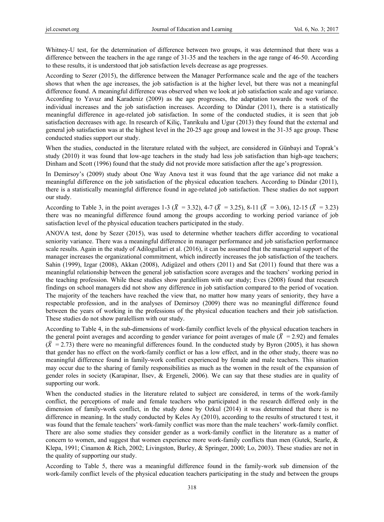Whitney-U test, for the determination of difference between two groups, it was determined that there was a difference between the teachers in the age range of 31-35 and the teachers in the age range of 46-50. According to these results, it is understood that job satisfaction levels decrease as age progresses.

According to Sezer (2015), the difference between the Manager Performance scale and the age of the teachers shows that when the age increases, the job satisfaction is at the higher level, but there was not a meaningful difference found. A meaningful difference was observed when we look at job satisfaction scale and age variance. According to Yavuz and Karadeniz (2009) as the age progresses, the adaptation towards the work of the individual increases and the job satisfaction increases. According to Dündar (2011), there is a statistically meaningful difference in age-related job satisfaction. In some of the conducted studies, it is seen that job satisfaction decreases with age. In research of Kiliç, Tanrikulu and Ugur (2013) they found that the external and general job satisfaction was at the highest level in the 20-25 age group and lowest in the 31-35 age group. These conducted studies support our study.

When the studies, conducted in the literature related with the subject, are considered in Günbayi and Toprak's study (2010) it was found that low-age teachers in the study had less job satisfaction than high-age teachers; Dinham and Scott (1996) found that the study did not provide more satisfaction after the age's progression.

In Demirsoy's (2009) study about One Way Anova test it was found that the age variance did not make a meaningful difference on the job satisfaction of the physical education teachers. According to Dündar (2011), there is a statistically meaningful difference found in age-related job satisfaction. These studies do not support our study.

According to Table 3, in the point averages 1-3 ( $\bar{X} = 3.32$ ), 4-7 ( $\bar{X} = 3.25$ ), 8-11 ( $\bar{X} = 3.06$ ), 12-15 ( $\bar{X} = 3.23$ ) there was no meaningful difference found among the groups according to working period variance of job satisfaction level of the physical education teachers participated in the study.

ANOVA test, done by Sezer (2015), was used to determine whether teachers differ according to vocational seniority variance. There was a meaningful difference in manager performance and job satisfaction performance scale results. Again in the study of Adilogullari et al. (2016), it can be assumed that the managerial support of the manager increases the organizational commitment, which indirectly increases the job satisfaction of the teachers. Sahin (1999), Izgar (2008), Akkan (2008), Adigüzel and others (2011) and Sat (2011) found that there was a meaningful relationship between the general job satisfaction score averages and the teachers' working period in the teaching profession. While these studies show paralellism with our study; Eves (2008) found that research findings on school managers did not show any difference in job satisfaction compared to the period of vocation. The majority of the teachers have reached the view that, no matter how many years of seniority, they have a respectable profession, and in the analyses of Demirsoy (2009) there was no meaningful difference found between the years of working in the professions of the physical education teachers and their job satisfaction. These studies do not show paralellism with our study.

According to Table 4, in the sub-dimensions of work-family conflict levels of the physical education teachers in the general point averages and according to gender variance for point averages of male ( $\bar{X}$  = 2.92) and females  $(\bar{X} = 2.73)$  there were no meaningful differences found. In the conducted study by Byron (2005), it has shown that gender has no effect on the work-family conflict or has a low effect, and in the other study, theere was no meaningful difference found in family-work conflict experienced by female and male teachers. This situation may occur due to the sharing of family responsibilities as much as the women in the result of the expansion of gender roles in society (Karapinar, Ilsev, & Ergeneli, 2006). We can say that these studies are in quality of supporting our work.

When the conducted studies in the literature related to subject are considered, in terms of the work-family conflict, the perceptions of male and female teachers who participated in the research differed only in the dimension of family-work conflict, in the study done by Ozkul (2014) it was determined that there is no difference in meaning. In the study conducted by Keles Ay (2010), according to the results of structured t test, it was found that the female teachers' work-family conflict was more than the male teachers' work-family conflict. There are also some studies they consider gender as a work-family conflict in the literature as a matter of concern to women, and suggest that women experience more work-family conflicts than men (Gutek, Searle, & Klepa, 1991; Cinamon & Rich, 2002; Livingston, Burley, & Springer, 2000; Lo, 2003). These studies are not in the quality of supporting our study.

According to Table 5, there was a meaningful difference found in the family-work sub dimension of the work-family conflict levels of the physical education teachers participating in the study and between the groups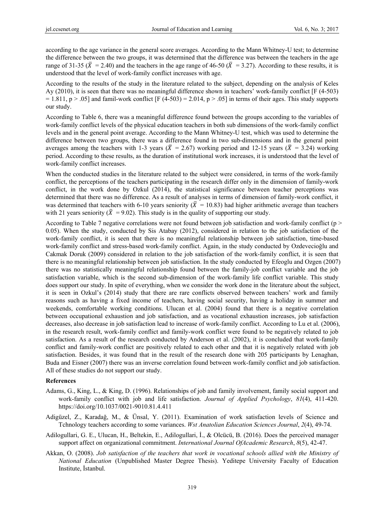according to the age variance in the general score averages. According to the Mann Whitney-U test; to determine the difference between the two groups, it was determined that the difference was between the teachers in the age range of 31-35 ( $\bar{X} = 2.40$ ) and the teachers in the age range of 46-50 ( $\bar{X} = 3.27$ ). According to these results, it is understood that the level of work-family conflict increases with age.

According to the results of the study in the literature related to the subject, depending on the analysis of Keles Ay (2010), it is seen that there was no meaningful difference shown in teachers' work-family conflict [F (4-503)  $= 1.811$ , p  $> .05$ ] and famil-work conflict [F (4-503) = 2.014, p  $> .05$ ] in terms of their ages. This study supports our study.

According to Table 6, there was a meaningful difference found between the groups according to the variables of work-family conflict levels of the physical education teachers in both sub dimensions of the work-family conflict levels and in the general point average. According to the Mann Whitney-U test, which was used to determine the difference between two groups, there was a difference found in two sub-dimensions and in the general point averages among the teachers with 1-3 years ( $\overline{X} = 2.67$ ) working period and 12-15 years ( $\overline{X} = 3.24$ ) working period. According to these results, as the duration of institutional work increases, it is understood that the level of work-family conflict increases.

When the conducted studies in the literature related to the subject were considered, in terms of the work-family conflict, the perceptions of the teachers participating in the research differ only in the dimension of family-work conflict, in the work done by Ozkul (2014), the statistical significance between teacher perceptions was determined that there was no difference. As a result of analyses in terms of dimension of family-work conflict, it was determined that teachers with 6-10 years seniority ( $\bar{X}$  = 10.83) had higher arithmetic average than teachers with 21 years seniority ( $\bar{X} = 9.02$ ). This study is in the quality of supporting our study.

According to Table 7 negative correlations were not found between job satisfaction and work-family conflict ( $p$ ) 0.05). When the study, conducted by Sis Atabay (2012), considered in relation to the job satisfaction of the work-family conflict, it is seen that there is no meaningful relationship between job satisfaction, time-based work-family conflict and stress-based work-family conflict. Again, in the study conducted by Ozdevecioğlu and Cakmak Doruk (2009) considered in relation to the job satisfaction of the work-family conflict, it is seen that there is no meaningful relationship between job satisfaction. In the study conducted by Efeoglu and Ozgen (2007) there was no statistically meaningful relationship found between the family-job conflict variable and the job satisfaction variable, which is the second sub-dimension of the work-family life conflict variable. This study does support our study. In spite of everything, when we consider the work done in the literature about the subject, it is seen in Ozkul's (2014) study that there are rare conflicts observed between teachers' work and family reasons such as having a fixed income of teachers, having social security, having a holiday in summer and weekends, comfortable working conditions. Ulucan et al. (2004) found that there is a negative correlation between occupational exhaustion and job satisfaction, and as vocational exhaustion increases, job satisfaction decreases, also decrease in job satisfaction lead to increase of work-family conflict. According to Lu et al. (2006), in the research result, work-family conflict and family-work conflict were found to be negatively related to job satisfaction. As a result of the research conducted by Anderson et al. (2002), it is concluded that work-family conflict and family-work conflict are positively related to each other and that it is negatively related with job satisfaction. Besides, it was found that in the result of the research done with 205 participants by Lenaghan, Buda and Eisner (2007) there was an inverse correlation found between work-family conflict and job satisfaction. All of these studies do not support our study.

#### **References**

- Adams, G., King, L., & King, D. (1996). Relationships of job and family involvement, family social support and work-family conflict with job and life satisfaction. *Journal of Applied Psychology*, *81*(4), 411-420. https://doi.org/10.1037/0021-9010.81.4.411
- Adigüzel, Z., Karadağ, M., & Ünsal, Y. (2011). Examination of work satisfaction levels of Science and Tchnology teachers according to some variances. *Wst Anatolian Education Sciences Journal*, *2*(4), 49-74.
- Adilogullari, G. E., Ulucan, H., Beltekin, E., Adilogullari, İ., & Olcücü, B. (2016). Does the perceived manager support affect on organizational commitment. *International Journal OfAcademic Research*, *8*(5), 42-47.
- Akkan, O. (2008). *Job satisfaction of the teachers that work in vocational schools allied with the Ministry of National Education* (Unpublished Master Degree Thesis). Yeditepe University Faculty of Education Institute, İstanbul.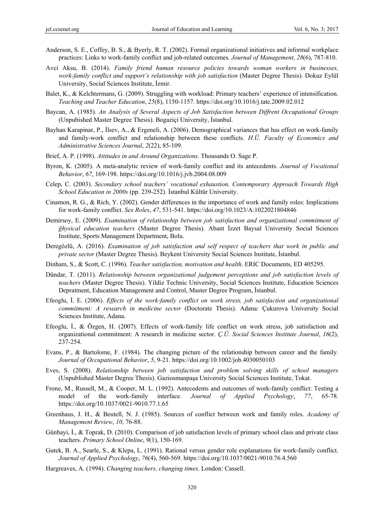- Anderson, S. E., Coffey, B. S., & Byerly, R. T. (2002). Formal organizational initiatives and informal workplace practices: Links to work-family conflict and job-related outcomes. *Journal of Management*, *28*(6), 787-810.
- Avci Aksu, B. (2014). *Family friend human resource policies towards woman workers in businesses, work-family conflict and support's relationship with job satisfaction* (Master Degree Thesis). Dokuz Eylül University, Social Sciences Institute, İzmir.
- Balet, K., & Kelchtermans, G. (2009). Struggling with workload: Primary teachers' experience of intensification. *Teaching and Teacher Education*, *25*(8), 1150-1157. https://doi.org/10.1016/j.tate.2009.02.012
- Baycan, A. (1985). *An Analysis of Several Aspects of Job Satisfaction between Diffrent Occupational Groups* (Unpubished Master Degree Thesis). Bogaziçi University, İstanbul.
- Bayhan Karapinar, P., İlsev, A., & Ergeneli, A. (2006). Demographical variances that has effect on work-family and family-work conflict and relationship between these conflicts. *H.Ü. Faculty of Economics and Administrative Sciences Journal*, *2*(22), 85-109.
- Brief, A. P. (1998). *Attitudes in and Around Organizations*. Thousands O. Sage P.
- Byron, K. (2005). A meta-analytic review of work-family conflict and its antecedents. *Journal of Vocational Behavior*, *67*, 169-198. https://doi.org/10.1016/j.jvb.2004.08.009
- Celep, C. (2003). *Secondary school teachers' vocational exhaustion, Contemporary Approach Towards High School Education in 2000s* (pp. 239-252). İstanbul Kültür University.
- Cinamon, R. G., & Rich, Y. (2002). Gender differences in the importance of work and family roles: Implications for work-family conflict. *Sex Roles*, *47*, 531-541. https://doi.org/10.1023/A:1022021804846
- Demirsoy, E. (2009). *Examination of relationship between job satisfaction and organizational commitment of ğhysical education teachers* (Master Degree Thesis). Abant İzzet Baysal University Social Sciences Institute, Sports Management Department, Bolu.
- Deregözlü, A. (2016). *Examination of job satisfaction and self respect of teachers that work in public and private sector* (Master Degree Thesis). Beykent University Social Sciences Institute, İstanbul.
- Dinham, S., & Scott, C. (1996). *Teacher satisfaction, motivation and health*. ERIC Documents, ED 405295.
- Dündar, T. (2011). *Relationship between organizational judgement perceptions and job satisfaction levels of teachers* (Master Degree Thesis). Yildiz Technic University, Social Sciences Institute, Education Sciences Depratment, Education Management and Control, Master Degree Program, İstanbul.
- Efeoglu, İ. E. (2006). *Effects of the work-family conflict on work stress, job satisfaction and organizational commitment: A research in medicine sector* (Doctorate Thesis). Adana: Çukurova University Social Sciences Institute, Adana.
- Efeoglu, İ., & Özgen, H. (2007). Effects of work-family life conflict on work stress, job satisfaction and organizational commitment: A research in medicine sector. *Ç.Ü. Social Sciences Institute Journal*, *16*(2), 237-254.
- Evans, P., & Bartolome, F. (1984). The changing picture of the relationship between career and the family*. Journal of Occupational Behavior*, *5*, 9-21. https://doi.org/10.1002/job.4030050103
- Eves, S. (2008). *Relationship between job satisfaction and problem solving skills of school managers* (Unpublished Master Degree Thesis). Gaziosmanpaşa University Social Sciences Institute, Tokat.
- Frone, M., Russell, M., & Cooper, M. L. (1992). Antecedents and outcomes of work-family conflict: Testing a model of the work-family interface. *Journal of Applied Psychology*, *77*, 65-78. https://doi.org/10.1037/0021-9010.77.1.65
- Greenhaus, J. H., & Beutell, N. J. (1985). Sources of conflict between work and family roles. *Academy of Management Review*, *10*, 76-88.
- Günbayi, İ., & Toprak, D. (2010). Comparison of job satisfaction levels of primary school class and private class teachers. *Primary School Online*, *9*(1), 150-169.
- Gutek, B. A., Searle, S., & Klepa, L. (1991). Rational versus gender role explanations for work-family conflict. *Journal of Applied Psychology*, *76*(4), 560-569. https://doi.org/10.1037/0021-9010.76.4.560
- Hargreaves, A. (1994). *Changing teachers, changing times*. London: Cassell.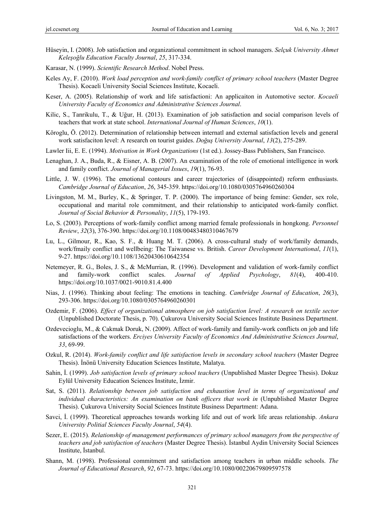- Hüseyin, I. (2008). Job satisfaction and organizational commitment in school managers. *Selçuk University Ahmet Keleşoğlu Education Faculty Journal*, *25*, 317-334.
- Karasar, N. (1999). *Scientific Research Method*. Nobel Press.
- Keles Ay, F. (2010). *Work load perception and work-family conflict of primary school teachers* (Master Degree Thesis). Kocaeli University Social Sciences Institute, Kocaeli.
- Keser, A. (2005). Relationship of work and life satisfactioni: An applicaiton in Automotive sector. *Kocaeli University Faculty of Economics and Administrative Sciences Journal*.
- Kilic, S., Tanrikulu, T., & Uğur, H. (2013). Examination of job satisfaction and social comparison levels of teachers that work at state school. *International Journal of Human Sciences*, *10*(1).
- Köroglu, Ö. (2012). Determination of relationship between internatl and external satisfaction levels and general work satisfaciton level: A research on tourist guides. *Doğuş University Journal*, *13*(2), 275-289.
- Lawler Iii, E. E. (1994). *Motivation in Work Organizations* (1st ed.). Jossey-Bass Publishers, San Francisco.
- Lenaghan, J. A., Buda, R., & Eisner, A. B. (2007). An examination of the role of emotional intelligence in work and family conflict. *Journal of Managerial Issues*, *19*(1), 76-93.
- Little, J. W. (1996). The emotional contours and career trajectories of (disappointed) reform enthusiasts. *Cambridge Journal of Education*, *26*, 345-359. https://doi.org/10.1080/0305764960260304
- Livingston, M. M., Burley, K., & Springer, T. P. (2000). The importance of being femine: Gender, sex role, occupational and marital role commitment, and their relationship to anticipated work-family conflict. *Journal of Social Behavior & Personality*, *11*(5), 179-193.
- Lo, S. (2003). Perceptions of work-family conflict among married female professionals in hongkong. *Personnel Review*, *32*(3), 376-390. https://doi.org/10.1108/00483480310467679
- Lu, L., Gilmour, R., Kao, S. F., & Huang M. T. (2006). A cross-cultural study of work/family demands, work/fmaily conflict and wellbeing: The Taiwanese vs. British. *Career Development International*, *11*(1), 9-27. https://doi.org/10.1108/13620430610642354
- Netemeyer, R. G., Boles, J. S., & McMurrian, R. (1996). Development and validation of work-family conflict and family-work conflict scales. *Journal of Applied Psychology*, *81*(4), 400-410. https://doi.org/10.1037/0021-9010.81.4.400
- Nias, J. (1996). Thinking about feeling: The emotions in teaching. *Cambridge Journal of Education*, *26*(3), 293-306. https://doi.org/10.1080/0305764960260301
- Ozdemir, F. (2006). *Effect of organizational atmosphere on job satisfaction level: A research on textile sector* (Unpublished Doctorate Thesis, p. 70). Çukurova University Social Sciences Institute Business Department.
- Ozdevecioglu, M., & Cakmak Doruk, N. (2009). Affect of work-family and family-work conflicts on job and life satisfactions of the workers. *Erciyes University Faculty of Economics And Administrative Sciences Journal*, *33*, 69-99.
- Ozkul, R. (2014). *Work-family conflict and life satisfaction levels in secondary school teachers* (Master Degree Thesis). İnönü University Education Sciences Institute, Malatya.
- Sahin, İ. (1999). *Job satisfaction levels of primary school teachers* (Unpublished Master Degree Thesis). Dokuz Eylül University Education Sciences Institute, İzmir.
- Sat, S. (2011). *Relationship between job satisfaction and exhaustion level in terms of organizational and individual characteristics: An examination on bank officers that work in* (Unpublished Master Degree Thesis). Çukurova University Social Sciences Institute Business Department: Adana.
- Savci, İ. (1999). Theoretical approaches towards working life and out of work life areas relationship. *Ankara University Politial Sciences Faculty Journal*, *54*(4).
- Sezer, E. (2015). *Relationship of management performances of primary school managers from the perspective of teachers and job satisfaction of teachers* (Master Degree Thesis). İstanbul Aydin University Social Sciences Institute, İstanbul.
- Shann, M. (1998). Professional commitment and satisfaction among teachers in urban middle schools. *The Journal of Educational Research*, *92*, 67-73. https://doi.org/10.1080/00220679809597578